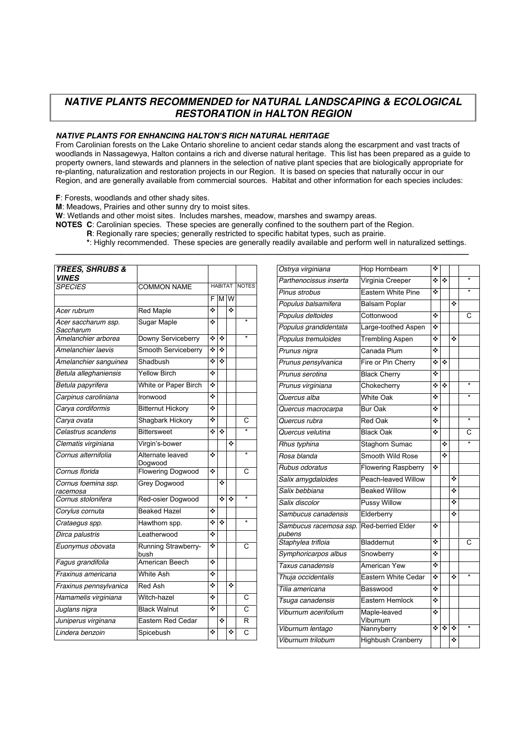# *NATIVE PLANTS RECOMMENDED for NATURAL LANDSCAPING & ECOLOGICAL RESTORATION in HALTON REGION*

## *NATIVE PLANTS FOR ENHANCING HALTON'S RICH NATURAL HERITAGE*

From Carolinian forests on the Lake Ontario shoreline to ancient cedar stands along the escarpment and vast tracts of woodlands in Nassagewya, Halton contains a rich and diverse natural heritage. This list has been prepared as a guide to property owners, land stewards and planners in the selection of native plant species that are biologically appropriate for re-planting, naturalization and restoration projects in our Region. It is based on species that naturally occur in our Region, and are generally available from commercial sources. Habitat and other information for each species includes:

**F**: Forests, woodlands and other shady sites.

**M**: Meadows, Prairies and other sunny dry to moist sites.

**W**: Wetlands and other moist sites. Includes marshes, meadow, marshes and swampy areas.

**NOTES C**: Carolinian species. These species are generally confined to the southern part of the Region.

**R**: Regionally rare species; generally restricted to specific habitat types, such as prairie.

**\***: Highly recommended. These species are generally readily available and perform well in naturalized settings.

**\_\_\_\_\_\_\_\_\_\_\_\_\_\_\_\_\_\_\_\_\_\_\_\_\_\_\_\_\_\_\_\_\_\_\_\_\_\_\_\_\_\_\_\_\_\_\_\_\_\_\_\_\_\_\_\_\_\_\_\_\_\_\_\_\_\_\_\_\_\_\_\_\_\_\_\_\_\_\_\_\_\_\_\_\_\_\_\_\_**

| <b>TREES, SHRUBS &amp;</b>       |                             |                |   |              |                   |
|----------------------------------|-----------------------------|----------------|---|--------------|-------------------|
| <b>VINES</b>                     |                             |                |   |              |                   |
| <b>SPECIES</b>                   | <b>COMMON NAME</b>          | <b>HABITAT</b> |   | <b>NOTES</b> |                   |
|                                  |                             | F              |   | M W          |                   |
| Acer rubrum                      | <b>Red Maple</b>            | ٠              |   | ÷            |                   |
| Acer saccharum ssp.<br>Saccharum | Sugar Maple                 | ❖              |   |              | $\overline{\ast}$ |
| Amelanchier arborea              | Downy Serviceberry          | ❖              | ٠ |              |                   |
| Amelanchier laevis               | Smooth Serviceberry         | ٠              | ٠ |              |                   |
| Amelanchier sanguinea            | Shadbush                    | ❖              | ٠ |              |                   |
| Betula alleghaniensis            | <b>Yellow Birch</b>         | ÷              |   |              |                   |
| Betula papyrifera                | White or Paper Birch        | ÷              |   |              |                   |
| Carpinus caroliniana             | Ironwood                    | ٠              |   |              |                   |
| Carya cordiformis                | <b>Bitternut Hickory</b>    | ❖              |   |              |                   |
| Carya ovata                      | Shagbark Hickory            | ٠              |   |              | C                 |
| Celastrus scandens               | <b>Bittersweet</b>          | ٠              | ٠ |              |                   |
| Clematis virginiana              | Virgin's-bower              |                |   | ÷            |                   |
| Cornus alternifolia              | Alternate leaved<br>Dogwood | ❖              |   |              | $\overline{\ast}$ |
| Cornus florida                   | <b>Flowering Dogwood</b>    | ÷              |   |              | Ć                 |
| Cornus foemina ssp.<br>racemosa  | Grey Dogwood                |                | ٠ |              |                   |
| Cornus stolonifera               | Red-osier Dogwood           |                | ÷ | ÷            | $\overline{\ast}$ |
| Corylus cornuta                  | <b>Beaked Hazel</b>         | ٠              |   |              |                   |
| Crataegus spp.                   | Hawthorn spp.               | ÷              | ٠ |              |                   |
| Dirca palustris                  | Leatherwood                 | ٠              |   |              |                   |
| Euonymus obovata                 | Running Strawberry-<br>bush | ❖              |   |              | C                 |
| Fagus grandifolia                | American Beech              | ÷              |   |              |                   |
| Fraxinus americana               | White Ash                   | ÷              |   |              |                   |
| Fraxinus pennsylvanica           | <b>Red Ash</b>              | ٠              |   | ÷            |                   |
| Hamamelis virginiana             | Witch-hazel                 | ÷              |   |              | $\overline{C}$    |
| Juglans nigra                    | <b>Black Walnut</b>         | ٠              |   |              | $\overline{C}$    |
| Juniperus virginana              | <b>Eastern Red Cedar</b>    |                | ÷ |              | R                 |
| Lindera benzoin                  | Spicebush                   | ❖              |   | ❖            | $\overline{C}$    |
|                                  |                             |                |   |              |                   |

| Ostrya virginiana                | Hop Hornbeam               | ❖ |   |   |                   |
|----------------------------------|----------------------------|---|---|---|-------------------|
| Parthenocissus inserta           | Virginia Creeper           | ÷ | ÷ |   | ÷                 |
| Pinus strobus                    | Eastern White Pine         | ❖ |   |   | ÷                 |
| Populus balsamifera              | <b>Balsam Poplar</b>       |   |   | ٠ |                   |
| Populus deltoides                | Cottonwood                 | ٠ |   |   | С                 |
| Populus grandidentata            | Large-toothed Aspen        | ٠ |   |   |                   |
| Populus tremuloides              | <b>Trembling Aspen</b>     | ❖ |   | ❖ |                   |
| Prunus nigra                     | Canada Plum                | ٠ |   |   |                   |
| Prunus pensylvanica              | Fire or Pin Cherry         | ٠ | ٠ |   |                   |
| Prunus serotina                  | <b>Black Cherry</b>        | ÷ |   |   |                   |
| Prunus virginiana                | Chokecherry                | ٠ | ÷ |   | $\star$           |
| Quercus alba                     | <b>White Oak</b>           | ٠ |   |   |                   |
| Quercus macrocarpa               | <b>Bur Oak</b>             | ❖ |   |   |                   |
| Quercus rubra                    | <b>Red Oak</b>             | ٠ |   |   | $\overline{\ast}$ |
| Quercus velutina                 | <b>Black Oak</b>           | ٠ |   |   | С                 |
| Rhus typhina                     | Staghorn Sumac             |   | ❖ |   |                   |
| Rosa blanda                      | Smooth Wild Rose           |   | ÷ |   |                   |
| Rubus odoratus                   | <b>Flowering Raspberry</b> | ÷ |   |   |                   |
| Salix amygdaloides               | Peach-leaved Willow        |   |   | ❖ |                   |
| Salix bebbiana                   | <b>Beaked Willow</b>       |   |   | ٠ |                   |
| Salix discolor                   | <b>Pussy Willow</b>        |   |   | ÷ |                   |
| Sambucus canadensis              | Elderberry                 |   |   | ÷ |                   |
| Sambucus racemosa ssp.<br>pubens | <b>Red-berried Elder</b>   | ٠ |   |   |                   |
| Staphylea trifloia               | Bladdernut                 | ❖ |   |   | C                 |
| Symphoricarpos albus             | Snowberry                  | ٠ |   |   |                   |
| Taxus canadensis                 | American Yew               | ٠ |   |   |                   |
| Thuja occidentalis               | Eastern White Cedar        | ٠ |   | ٠ | $\overline{\ast}$ |
| Tilia americana                  | Basswood                   | ٠ |   |   |                   |
| Tsuga canadensis                 | Eastern Hemlock            | ❖ |   |   |                   |
| Viburnum acerifolium             | Maple-leaved<br>Viburnum   | ❖ |   |   |                   |
| Viburnum lentago                 | Nannyberry                 | ÷ | ÷ | ❖ | $\overline{\ast}$ |
| Viburnum trilobum                | <b>Highbush Cranberry</b>  |   |   | ❖ |                   |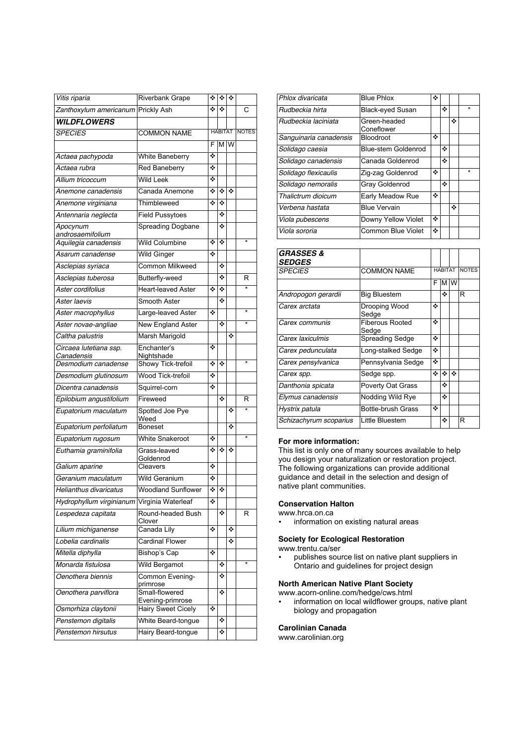| Vitis riparia                            | <b>Riverbank Grape</b>             | ❖ | ❖              | ٠   |                   |
|------------------------------------------|------------------------------------|---|----------------|-----|-------------------|
| Zanthoxylum americanum                   | <b>Prickly Ash</b>                 | ÷ | ٠              |     | C                 |
| <b>WILDFLOWERS</b>                       |                                    |   |                |     |                   |
| <b>SPECIES</b>                           | <b>COMMON NAME</b>                 |   | <b>HABITAT</b> |     | <b>NOTES</b>      |
|                                          |                                    | F |                | M W |                   |
| Actaea pachypoda                         | White Baneberry                    | ❖ |                |     |                   |
| Actaea rubra                             | Red Baneberry                      | ❖ |                |     |                   |
| Allium tricoccum                         | <b>Wild Leek</b>                   | ❖ |                |     |                   |
| Anemone canadensis                       | Canada Anemone                     | ❖ | ❖              | ٠   |                   |
| Anemone virginiana                       | Thimbleweed                        | ÷ | ÷              |     |                   |
| Antennaria neglecta                      | <b>Field Pussytoes</b>             |   | ❖              |     |                   |
| Apocynum                                 | <b>Spreading Dogbane</b>           |   | ÷              |     |                   |
| androsaemifolium<br>Aquilegia canadensis | <b>Wild Columbine</b>              | ❖ | ÷              |     | $\star$           |
| Asarum canadense                         | <b>Wild Ginger</b>                 | ❖ |                |     |                   |
|                                          | <b>Common Milkweed</b>             |   | ❖              |     |                   |
| Asclepias syriaca<br>Asclepias tuberosa  | Butterfly-weed                     |   | ❖              |     | R                 |
| Aster cordifolius                        | <b>Heart-leaved Aster</b>          | ❖ | ❖              |     |                   |
|                                          |                                    |   | ÷              |     |                   |
| Aster laevis                             | Smooth Aster                       |   |                |     |                   |
| Aster macrophyllus                       | Large-leaved Aster                 | ❖ |                |     | $\overline{\ast}$ |
| Aster novae-angliae                      | <b>New England Aster</b>           |   | ÷              |     |                   |
| Caltha palustris                         | Marsh Marigold                     |   |                | ❖   |                   |
| Circaea lutetiana ssp.<br>Canadensis     | Enchanter's<br>Nightshade          | ❖ |                |     |                   |
| Desmodium canadense                      | Showy Tick-trefoil                 | ❖ | ❖              |     | $\star$           |
| Desmodium glutinosum                     | Wood Tick-trefoil                  | ❖ |                |     |                   |
| Dicentra canadensis                      | Squirrel-corn                      | ÷ |                |     |                   |
| Epilobium angustifolium                  | Fireweed                           |   | ÷              |     | R                 |
| Eupatorium maculatum                     | Spotted Joe Pye<br>Weed            |   |                | ❖   |                   |
| Eupatorium perfoliatum                   | <b>Boneset</b>                     |   |                | ❖   |                   |
| Eupatorium rugosum                       | <b>White Snakeroot</b>             | ❖ |                |     | $\star$           |
| Euthamia graminifolia                    | Grass-leaved<br>Goldenrod          | ❖ | ❖              | ❖   |                   |
| Galium aparine                           | Cleavers                           | ❖ |                |     |                   |
| Geranium maculatum                       | <b>Wild Geranium</b>               | ❖ |                |     |                   |
| Helianthus divaricatus                   | Woodland Sunflower                 | ❖ | ❖              |     |                   |
| Hydrophyllum virginianum                 | Virginia Waterleaf                 | ❖ |                |     |                   |
| Lespedeza capitata                       | Round-headed Bush<br>Clover        |   | ❖              |     | R                 |
| Lilium michiganense                      | Canada Lily                        | ❖ |                | ❖   |                   |
| Lobelia cardinalis                       | <b>Cardinal Flower</b>             |   |                | ❖   |                   |
| Mitella diphylla                         | Bishop's Cap                       | ÷ |                |     |                   |
| Monarda fistulosa                        | <b>Wild Bergamot</b>               |   | ❖              |     |                   |
| Oenothera biennis                        | Common Evening-<br>primrose        |   | ❖              |     |                   |
| Oenothera parviflora                     | Small-flowered<br>Evening-primrose |   | ❖              |     |                   |
| Osmorhiza claytonii                      | <b>Hairy Sweet Cicely</b>          | ❖ |                |     |                   |
| Penstemon digitalis                      | White Beard-tongue                 |   | ❖              |     |                   |
| Penstemon hirsutus                       | Hairy Beard-tongue                 |   | ❖              |     |                   |

| Phlox divaricata       | <b>Blue Phlox</b>          | ❖ |   |   |         |
|------------------------|----------------------------|---|---|---|---------|
| Rudbeckia hirta        | <b>Black-eved Susan</b>    |   | ٠ |   | $\star$ |
| Rudbeckia laciniata    | Green-headed<br>Coneflower |   |   | ٠ |         |
| Sanguinaria canadensis | <b>Bloodroot</b>           | ٠ |   |   |         |
| Solidago caesia        | <b>Blue-stem Goldenrod</b> |   | ٠ |   |         |
| Solidago canadensis    | Canada Goldenrod           |   | ٠ |   |         |
| Solidago flexicaulis   | Zig-zag Goldenrod          | ٠ |   |   | $\star$ |
| Solidago nemoralis     | Gray Goldenrod             |   | ٠ |   |         |
| Thalictrum dioicum     | Early Meadow Rue           | ٠ |   |   |         |
| Verbena hastata        | <b>Blue Vervain</b>        |   |   | ٠ |         |
| Viola pubescens        | Downy Yellow Violet        | ❖ |   |   |         |
| Viola sororia          | Common Blue Violet         | ❖ |   |   |         |

| <b>COMMON NAME</b>              | <b>HABITAT</b> |   |   | <b>NOTES</b> |
|---------------------------------|----------------|---|---|--------------|
|                                 | F              | м | W |              |
| <b>Big Bluestem</b>             |                | ❖ |   | R            |
| Drooping Wood<br>Sedge          | ٠              |   |   |              |
| <b>Fiberous Rooted</b><br>Sedge | ٠              |   |   |              |
| <b>Spreading Sedge</b>          | ٠              |   |   |              |
| Long-stalked Sedge              | ٠              |   |   |              |
| Pennsylvania Sedge              | ٠              |   |   |              |
| Sedge spp.                      | ٠              | ٠ | ٠ |              |
| Poverty Oat Grass               |                | ٠ |   |              |
| Nodding Wild Rye                |                | ٠ |   |              |
| <b>Bottle-brush Grass</b>       | ٠              |   |   |              |
| Little Bluestem                 |                | ❖ |   | R            |
|                                 |                |   |   |              |

### **For more information:**

This list is only one of many sources available to help you design your naturalization or restoration project. The following organizations can provide additional guidance and detail in the selection and design of native plant communities.

#### **Conservation Halton**

- www.hrca.on.ca
- information on existing natural areas

## **Society for Ecological Restoration**

www.trentu.ca/ser

• publishes source list on native plant suppliers in Ontario and guidelines for project design

## **North American Native Plant Society**

www.acorn-online.com/hedge/cws.html

• information on local wildflower groups, native plant biology and propagation

### **Carolinian Canada**

www.carolinian.org